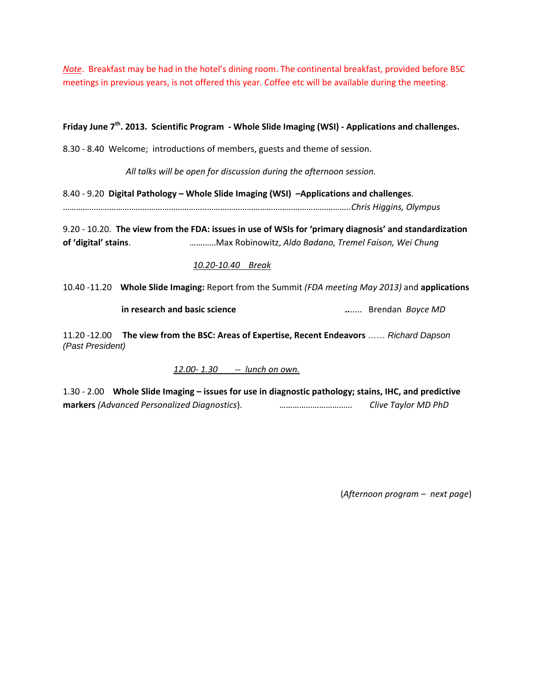*Note*. Breakfast may be had in the hotel's dining room. The continental breakfast, provided before BSC meetings in previous years, is not offered this year. Coffee etc will be available during the meeting.

# **Friday June 7th. 2013. Scientific Program ‐ Whole Slide Imaging (WSI) ‐ Applications and challenges.**

8.30 ‐ 8.40 Welcome; introductions of members, guests and theme of session.

*All talks will be open for discussion during the afternoon session.*

8.40 ‐ 9.20 **Digital Pathology – Whole Slide Imaging (WSI) –Applications and challenges**. ………………………………………………………..………………………………………………………..*Chris Higgins, Olympus*

9.20 ‐ 10.20. **The view from the FDA: issues in use of WSIs for 'primary diagnosis' and standardization of 'digital' stains**. …………Max Robinowitz, *Aldo Badano, Tremel Faison, Wei Chung*

## *10.20‐10.40 Break*

10.40 ‐11.20 **Whole Slide Imaging:** Report from the Summit *(FDA meeting May 2013)* and **applications** 

 **in research and basic science ..**..... Brendan *Boyce MD*

11.20 ‐12.00 **The view from the BSC: Areas of Expertise, Recent Endeavors** …… *Richard Dapson (Past President)*

 *12.00‐ 1.30 ‐‐ lunch on own.*

1.30 ‐ 2.00 **Whole Slide Imaging – issues for use in diagnostic pathology; stains, IHC, and predictive markers** *(Advanced Personalized Diagnostics*). …………………………… *Clive Taylor MD PhD*

(*Afternoon program ‒ next page*)